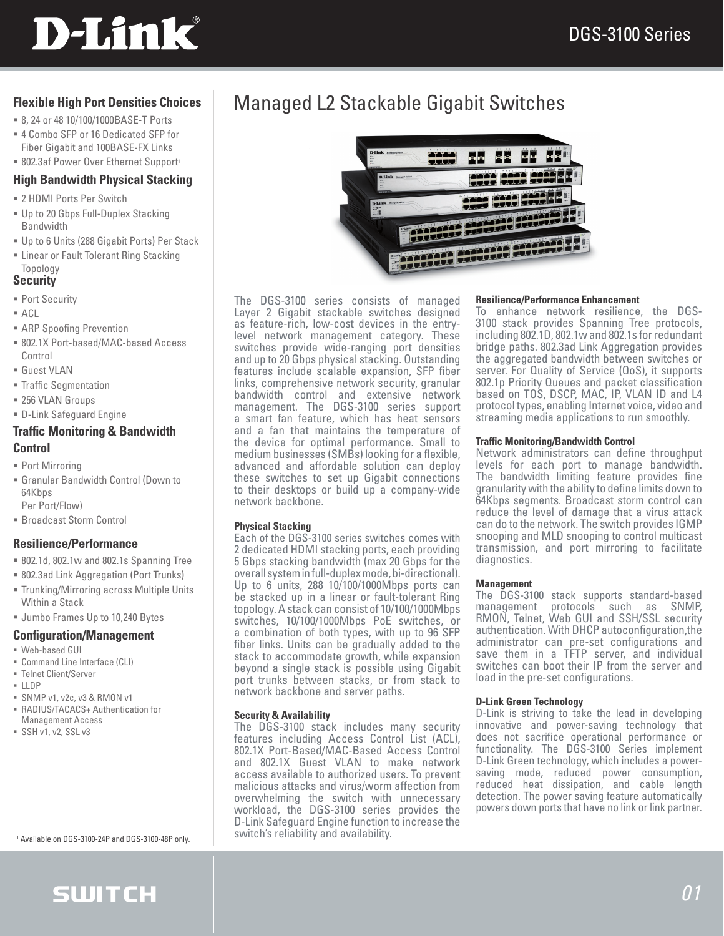# **D-Link**

### **Flexible High Port Densities Choices**

- 8, 24 or 48 10/100/1000BASE-T Ports
- 4 Combo SFP or 16 Dedicated SFP for Fiber Gigabit and 100BASE-FX Links
- <sup>8</sup> 802.3af Power Over Ethernet Support<sup>1</sup>

### **High Bandwidth Physical Stacking**

- 2 HDMI Ports Per Switch
- Up to 20 Gbps Full-Duplex Stacking Bandwidth
- Up to 6 Units (288 Gigabit Ports) Per Stack
- **Example 2** Linear or Fault Tolerant Ring Stacking Topology

### **Security**

- Port Security
- $ACI$
- **ARP Spoofing Prevention**
- 802.1X Port-based/MAC-based Access Control
- Guest VLAN
- Traffic Segmentation
- **256 VLAN Groups**
- D-Link Safeguard Engine

### **Traffic Monitoring & Bandwidth Control**

- Port Mirroring
- Granular Bandwidth Control (Down to 64Kbps Per Port/Flow)
- Broadcast Storm Control

### **Resilience/Performance**

- 802.1d, 802.1w and 802.1s Spanning Tree
- 802.3ad Link Aggregation (Port Trunks)
- Trunking/Mirroring across Multiple Units Within a Stack
- **Jumbo Frames Up to 10,240 Bytes**

### **Configuration/Management**

- Web-based GUI
- Command Line Interface (CLI)
- Telnet Client/Server
- LLDP
- SNMP v1, v2c, v3 & RMON v1
- RADIUS/TACACS+ Authentication for Management Access
- $SSH v1, v2, SSLv3$

<sup>1</sup> Available on DGS-3100-24P and DGS-3100-48P only.

# **SWITCH**

# Managed L2 Stackable Gigabit Switches



The DGS-3100 series consists of managed Layer 2 Gigabit stackable switches designed as feature-rich, low-cost devices in the entrylevel network management category. These switches provide wide-ranging port densities and up to 20 Gbps physical stacking. Outstanding features include scalable expansion, SFP fiber links, comprehensive network security, granular bandwidth control and extensive network management. The DGS-3100 series support a smart fan feature, which has heat sensors and a fan that maintains the temperature of the device for optimal performance. Small to medium businesses (SMBs) looking for a flexible, advanced and affordable solution can deploy these switches to set up Gigabit connections to their desktops or build up a company-wide network backbone.

### **Physical Stacking**

Each of the DGS-3100 series switches comes with 2 dedicated HDMI stacking ports, each providing 5 Gbps stacking bandwidth (max 20 Gbps for the overall system in full-duplex mode, bi-directional). Up to 6 units, 288 10/100/1000Mbps ports can be stacked up in a linear or fault-tolerant Ring topology. A stack can consist of 10/100/1000Mbps switches, 10/100/1000Mbps PoE switches, or a combination of both types, with up to 96 SFP fiber links. Units can be gradually added to the stack to accommodate growth, while expansion beyond a single stack is possible using Gigabit port trunks between stacks, or from stack to network backbone and server paths.

### **Security & Availability**

The DGS-3100 stack includes many security features including Access Control List (ACL), 802.1X Port-Based/MAC-Based Access Control and 802.1X Guest VLAN to make network access available to authorized users. To prevent malicious attacks and virus/worm affection from overwhelming the switch with unnecessary workload, the DGS-3100 series provides the D-Link Safeguard Engine function to increase the switch's reliability and availability.

### **Resilience/Performance Enhancement**

To enhance network resilience, the DGS-3100 stack provides Spanning Tree protocols, including 802.1D, 802.1w and 802.1s for redundant bridge paths. 802.3ad Link Aggregation provides the aggregated bandwidth between switches or server. For Quality of Service (QoS), it supports 802.1p Priority Queues and packet classification based on TOS, DSCP, MAC, IP, VLAN ID and L4 protocol types, enabling Internet voice, video and streaming media applications to run smoothly.

### **Traffic Monitoring/Bandwidth Control**

Network administrators can define throughput levels for each port to manage bandwidth. The bandwidth limiting feature provides fine granularity with the ability to define limits down to 64Kbps segments. Broadcast storm control can reduce the level of damage that a virus attack can do to the network. The switch provides IGMP snooping and MLD snooping to control multicast transmission, and port mirroring to facilitate diagnostics.

### **Management**

The DGS-3100 stack supports standard-based management protocols such as SNMP, RMON, Telnet, Web GUI and SSH/SSL security authentication. With DHCP autoconfiguration,the administrator can pre-set configurations and save them in a TFTP server, and individual switches can boot their IP from the server and load in the pre-set configurations.

### **D-Link Green Technology**

D-Link is striving to take the lead in developing innovative and power-saving technology that does not sacrifice operational performance or functionality. The DGS-3100 Series implement D-Link Green technology, which includes a powersaving mode, reduced power consumption, reduced heat dissipation, and cable length detection. The power saving feature automatically powers down ports that have no link or link partner.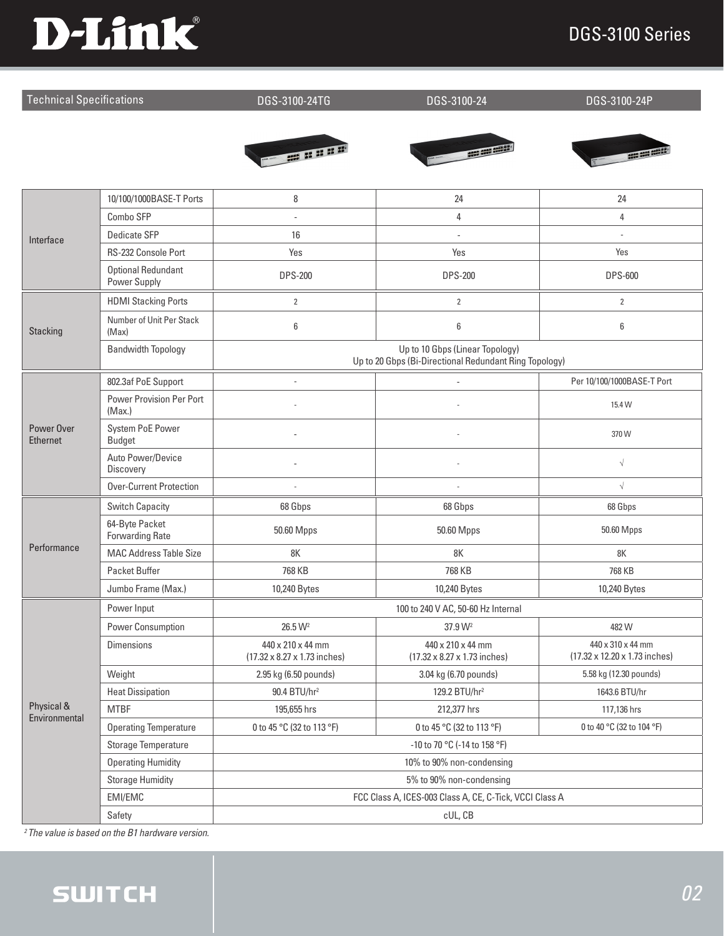## DGS-3100 Series



| <b>Technical Specifications</b> |                                           | DGS-3100-24TG                                                                             | DGS-3100-24                                       | DGS-3100-24P                                       |  |
|---------------------------------|-------------------------------------------|-------------------------------------------------------------------------------------------|---------------------------------------------------|----------------------------------------------------|--|
|                                 |                                           |                                                                                           |                                                   |                                                    |  |
|                                 |                                           | - 2000                                                                                    |                                                   | ----                                               |  |
|                                 |                                           |                                                                                           |                                                   |                                                    |  |
|                                 | 10/100/1000BASE-T Ports                   | 8                                                                                         | 24                                                | 24                                                 |  |
|                                 | Combo SFP                                 |                                                                                           | 4                                                 | 4                                                  |  |
| Interface                       | Dedicate SFP                              | 16                                                                                        |                                                   |                                                    |  |
|                                 | RS-232 Console Port                       | Yes                                                                                       | Yes                                               | Yes                                                |  |
|                                 | <b>Optional Redundant</b><br>Power Supply | <b>DPS-200</b>                                                                            | <b>DPS-200</b>                                    | <b>DPS-600</b>                                     |  |
|                                 | <b>HDMI Stacking Ports</b>                | $\overline{2}$                                                                            | $\overline{2}$                                    | $\overline{2}$                                     |  |
| Stacking                        | Number of Unit Per Stack<br>(Max)         | 6                                                                                         | 6                                                 | 6                                                  |  |
|                                 | <b>Bandwidth Topology</b>                 | Up to 10 Gbps (Linear Topology)<br>Up to 20 Gbps (Bi-Directional Redundant Ring Topology) |                                                   |                                                    |  |
| Power Over<br><b>Ethernet</b>   | 802.3af PoE Support                       |                                                                                           |                                                   | Per 10/100/1000BASE-T Port                         |  |
|                                 | Power Provision Per Port<br>(Max.)        |                                                                                           |                                                   | 15.4 W                                             |  |
|                                 | <b>System PoE Power</b><br><b>Budget</b>  |                                                                                           |                                                   | 370W                                               |  |
|                                 | Auto Power/Device<br>Discovery            |                                                                                           |                                                   | $\sqrt{}$                                          |  |
|                                 | <b>Over-Current Protection</b>            |                                                                                           |                                                   | $\sqrt{}$                                          |  |
|                                 | <b>Switch Capacity</b>                    | 68 Gbps                                                                                   | 68 Gbps                                           | 68 Gbps                                            |  |
|                                 | 64-Byte Packet<br><b>Forwarding Rate</b>  | 50.60 Mpps                                                                                | 50.60 Mpps                                        | 50.60 Mpps                                         |  |
| Performance                     | <b>MAC Address Table Size</b>             | 8K                                                                                        | 8K                                                | 8K                                                 |  |
|                                 | Packet Buffer                             | 768 KB                                                                                    | 768 KB                                            | 768 KB                                             |  |
|                                 | Jumbo Frame (Max.)                        | 10,240 Bytes                                                                              | 10,240 Bytes                                      | 10,240 Bytes                                       |  |
|                                 | Power Input                               | 100 to 240 V AC, 50-60 Hz Internal                                                        |                                                   |                                                    |  |
|                                 | Power Consumption                         | 26.5 W <sup>2</sup>                                                                       | 37.9 W <sup>2</sup>                               | 482W                                               |  |
| Physical &<br>Environmental     | <b>Dimensions</b>                         | 440 x 210 x 44 mm<br>(17.32 x 8.27 x 1.73 inches)                                         | 440 x 210 x 44 mm<br>(17.32 x 8.27 x 1.73 inches) | 440 x 310 x 44 mm<br>(17.32 x 12.20 x 1.73 inches) |  |
|                                 | Weight                                    | 2.95 kg (6.50 pounds)                                                                     | 3.04 kg (6.70 pounds)                             | 5.58 kg (12.30 pounds)                             |  |
|                                 | <b>Heat Dissipation</b>                   | 90.4 BTU/hr <sup>2</sup>                                                                  | 129.2 BTU/hr <sup>2</sup>                         | 1643.6 BTU/hr                                      |  |
|                                 | <b>MTBF</b>                               | 195,655 hrs                                                                               | 212,377 hrs                                       | 117,136 hrs                                        |  |
|                                 | <b>Operating Temperature</b>              | 0 to 45 °C (32 to 113 °F)                                                                 | 0 to 45 °C (32 to 113 °F)                         | 0 to 40 °C (32 to 104 °F)                          |  |
|                                 | Storage Temperature                       | -10 to 70 °C (-14 to 158 °F)                                                              |                                                   |                                                    |  |
|                                 | <b>Operating Humidity</b>                 |                                                                                           | 10% to 90% non-condensing                         |                                                    |  |
|                                 | <b>Storage Humidity</b>                   | 5% to 90% non-condensing                                                                  |                                                   |                                                    |  |
|                                 | EMI/EMC                                   | FCC Class A, ICES-003 Class A, CE, C-Tick, VCCI Class A                                   |                                                   |                                                    |  |
|                                 | Safety                                    | cUL, CB                                                                                   |                                                   |                                                    |  |

*2 The value is based on the B1 hardware version.*

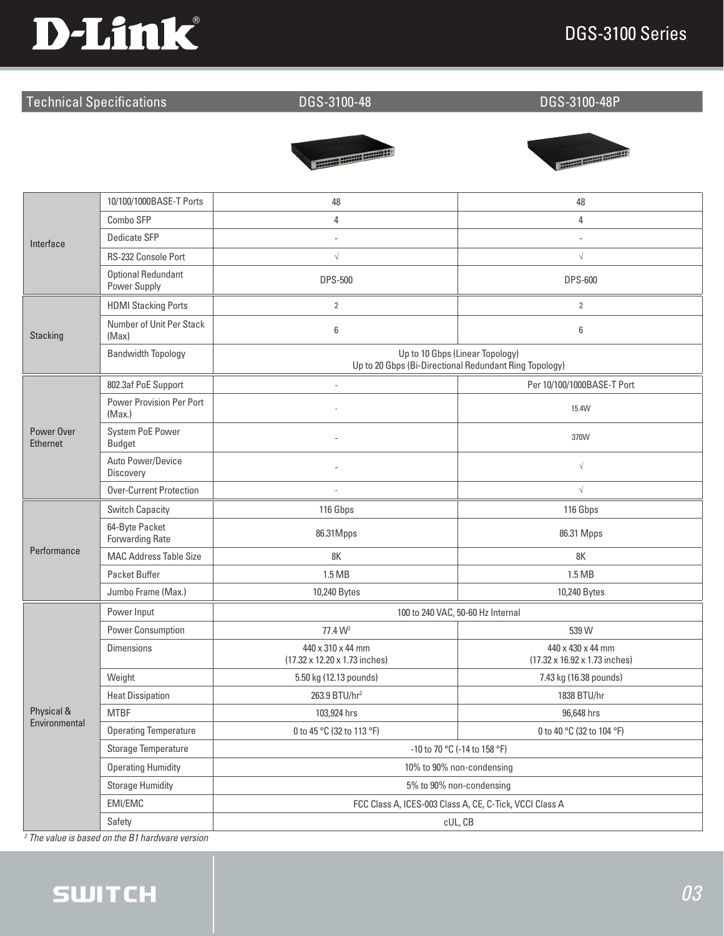## DGS-3100 Series



### Technical Specifications DGS-3100-48 DGS-3100-48P





| Interface                     | 10/100/1000BASE-T Ports                   | 48                                                                                        | 48                                                 |  |
|-------------------------------|-------------------------------------------|-------------------------------------------------------------------------------------------|----------------------------------------------------|--|
|                               | Combo SFP                                 | 4                                                                                         | $\overline{4}$                                     |  |
|                               | <b>Dedicate SFP</b>                       | $\sim$                                                                                    |                                                    |  |
|                               | RS-232 Console Port                       | $\sqrt{}$                                                                                 | $\sqrt{}$                                          |  |
|                               | <b>Optional Redundant</b><br>Power Supply | <b>DPS-500</b>                                                                            | <b>DPS-600</b>                                     |  |
| <b>Stacking</b>               | <b>HDMI Stacking Ports</b>                | $\overline{2}$                                                                            | $\overline{2}$                                     |  |
|                               | Number of Unit Per Stack<br>(Max)         | 6                                                                                         | 6                                                  |  |
|                               | <b>Bandwidth Topology</b>                 | Up to 10 Gbps (Linear Topology)<br>Up to 20 Gbps (Bi-Directional Redundant Ring Topology) |                                                    |  |
|                               | 802.3af PoE Support                       | $\overline{\phantom{a}}$                                                                  | Per 10/100/1000BASE-T Port                         |  |
| Power Over<br><b>Ethernet</b> | Power Provision Per Port<br>(Max.)        |                                                                                           | 15.4W                                              |  |
|                               | <b>System PoE Power</b><br><b>Budget</b>  |                                                                                           | 370W                                               |  |
|                               | Auto Power/Device<br>Discovery            |                                                                                           | $\sqrt{ }$                                         |  |
|                               | <b>Over-Current Protection</b>            |                                                                                           | $\sqrt{}$                                          |  |
|                               | <b>Switch Capacity</b>                    | 116 Gbps                                                                                  | 116 Gbps                                           |  |
|                               | 64-Byte Packet<br><b>Forwarding Rate</b>  | 86.31Mpps                                                                                 | 86.31 Mpps                                         |  |
| Performance                   | <b>MAC Address Table Size</b>             | 8K                                                                                        | 8K                                                 |  |
|                               | Packet Buffer                             | 1.5 MB                                                                                    | 1.5 MB                                             |  |
|                               | Jumbo Frame (Max.)                        | 10,240 Bytes                                                                              | 10,240 Bytes                                       |  |
|                               | Power Input                               | 100 to 240 VAC, 50-60 Hz Internal                                                         |                                                    |  |
|                               | Power Consumption                         | 77.4 W <sup>2</sup>                                                                       | 539 W                                              |  |
|                               | <b>Dimensions</b>                         | 440 x 310 x 44 mm<br>(17.32 x 12.20 x 1.73 inches)                                        | 440 x 430 x 44 mm<br>(17.32 x 16.92 x 1.73 inches) |  |
|                               | Weight                                    | 5.50 kg (12.13 pounds)                                                                    | 7.43 kg (16.38 pounds)                             |  |
|                               | <b>Heat Dissipation</b>                   | 263.9 BTU/hr <sup>2</sup>                                                                 | 1838 BTU/hr                                        |  |
| Physical &                    | <b>MTBF</b>                               | 103,924 hrs                                                                               | 96,648 hrs                                         |  |
| Environmental                 | <b>Operating Temperature</b>              | 0 to 45 °C (32 to 113 °F)                                                                 | 0 to 40 °C (32 to 104 °F)                          |  |
|                               | Storage Temperature                       | -10 to 70 °C (-14 to 158 °F)                                                              |                                                    |  |
|                               | <b>Operating Humidity</b>                 | 10% to 90% non-condensing                                                                 |                                                    |  |
|                               | <b>Storage Humidity</b>                   | 5% to 90% non-condensing                                                                  |                                                    |  |
|                               | EMI/EMC                                   | FCC Class A, ICES-003 Class A, CE, C-Tick, VCCI Class A                                   |                                                    |  |
|                               | Safety                                    | cUL, CB                                                                                   |                                                    |  |

*2 The value is based on the B1 hardware version*

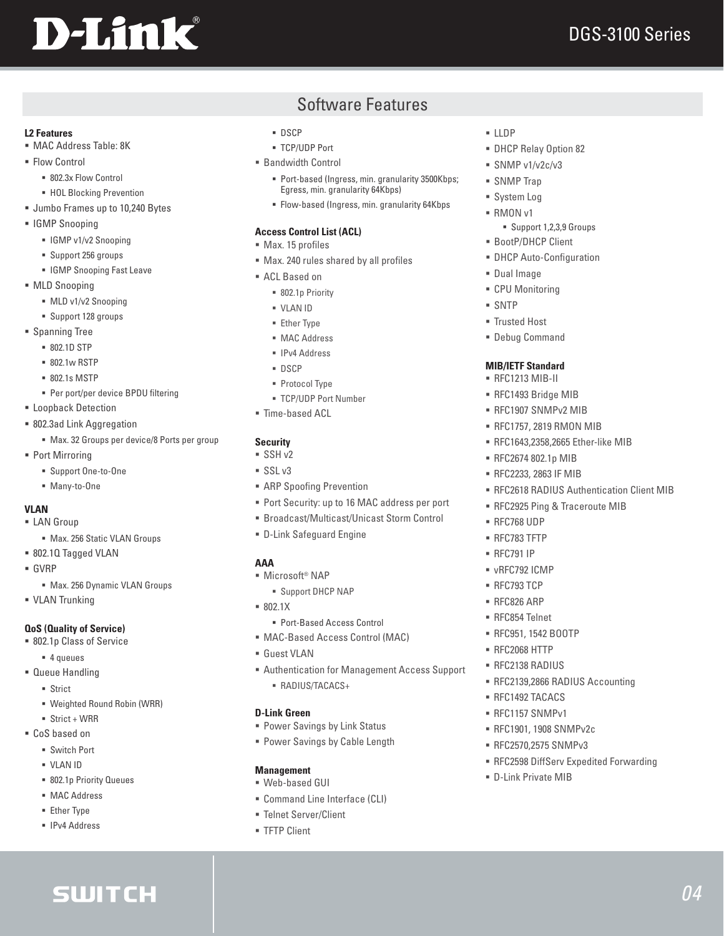# **D-Link**

*04*

### **L2 Features**

- MAC Address Table: 8K
- **Flow Control** 
	- 802.3x Flow Control
	- **HOL Blocking Prevention**
- **Jumbo Frames up to 10,240 Bytes**
- IGMP Snooping
	- **IGMP v1/v2 Snooping**
	- Support 256 groups
	- **IGMP Snooping Fast Leave**
- **MLD Snooping** 
	- $MLD v1/v2$  Snooping
	- Support 128 groups
- **Spanning Tree** 
	- 802.1D STP
	- 802.1w RSTP
	- 802.1s MSTP
	- Per port/per device BPDU filtering
- **ELoopback Detection**
- 802.3ad Link Aggregation
	- Max. 32 Groups per device/8 Ports per group
- Port Mirroring
	- Support One-to-One
	- Many-to-One

### **VLAN**

- **ELAN** Group
	- $Max.$  256 Static VLAN Groups
- 802.1Q Tagged VLAN
- GVRP
	- Max. 256 Dynamic VLAN Groups
- **VLAN Trunking**

### **QoS (Quality of Service)**

- 802.1p Class of Service
	- 4 queues
- Queue Handling
	- **Strict**
	- Weighted Round Robin (WRR)

**SWITCH** 

- $\blacksquare$  Strict + WRR
- CoS based on
	- Switch Port
	- VLAN ID
	- 802.1p Priority Queues
	- MAC Address
	- **Ether Type**
	- **IPv4 Address**

### Software Features

- DSCP
- TCP/UDP Port
- Bandwidth Control
	- **Port-based (Ingress, min. granularity 3500Kbps;** Egress, min. granularity 64Kbps)
	- Flow-based (Ingress, min. granularity 64Kbps

### **Access Control List (ACL)**

- Max. 15 profiles
- Max. 240 rules shared by all profiles
- ACL Based on
	- 802.1p Priority
	- VLAN ID
	- **Ether Type**
	- **MAC Address**
	- **IPv4 Address**
	- DSCP
	- **Protocol Type**
	- TCP/UDP Port Number
- Time-based ACL

### **Security**

- $SSH v2$
- $SSL v3$
- **ARP Spoofing Prevention**
- **Port Security: up to 16 MAC address per port**
- Broadcast/Multicast/Unicast Storm Control
- D-Link Safeguard Engine

### **AAA**

- Microsoft<sup>®</sup> NAP
	- Support DHCP NAP
- 802.1X
- Port-Based Access Control
- MAC-Based Access Control (MAC)
- Guest VLAN
- Authentication for Management Access Support RADIUS/TACACS+

### **D-Link Green**

- Power Savings by Link Status
- **Power Savings by Cable Length**

### **Management**

- Web-based GUI
- Command Line Interface (CLI)
- Telnet Server/Client
- **FTP Client**

### $\blacksquare$ LDP

- DHCP Relay Option 82
- $SNNP v1/v2c/v3$
- SNMP Trap
- **System Log**
- $RMONv1$ 
	- Support 1,2,3,9 Groups
- BootP/DHCP Client
- **DHCP Auto-Configuration**
- Dual Image
- CPU Monitoring

**MIB/IETF Standard** RFC1213 MIB-II RFC1493 Bridge MIB RFC1907 SNMPv2 MIB RFC1757, 2819 RMON MIB RFC1643,2358,2665 Ether-like MIB

**RFC2674 802.1p MIB** RFC2233, 2863 IF MIB

 RFC768 UDP RFC783 TFTP RFC791 IP vRFC792 ICMP RFC793 TCP ■ RFC826 ARP RFC854 Telnet RFC951, 1542 BOOTP RFC2068 HTTP RFC2138 RADIUS

RFC2618 RADIUS Authentication Client MIB

RFC2925 Ping & Traceroute MIB

RFC2139,2866 RADIUS Accounting

RFC2598 DiffServ Expedited Forwarding

 RFC1492 TACACS RFC1157 SNMPv1 RFC1901, 1908 SNMPv2c **RFC2570,2575 SNMPv3** 

D-Link Private MIB

 SNTP **Trusted Host** Debug Command